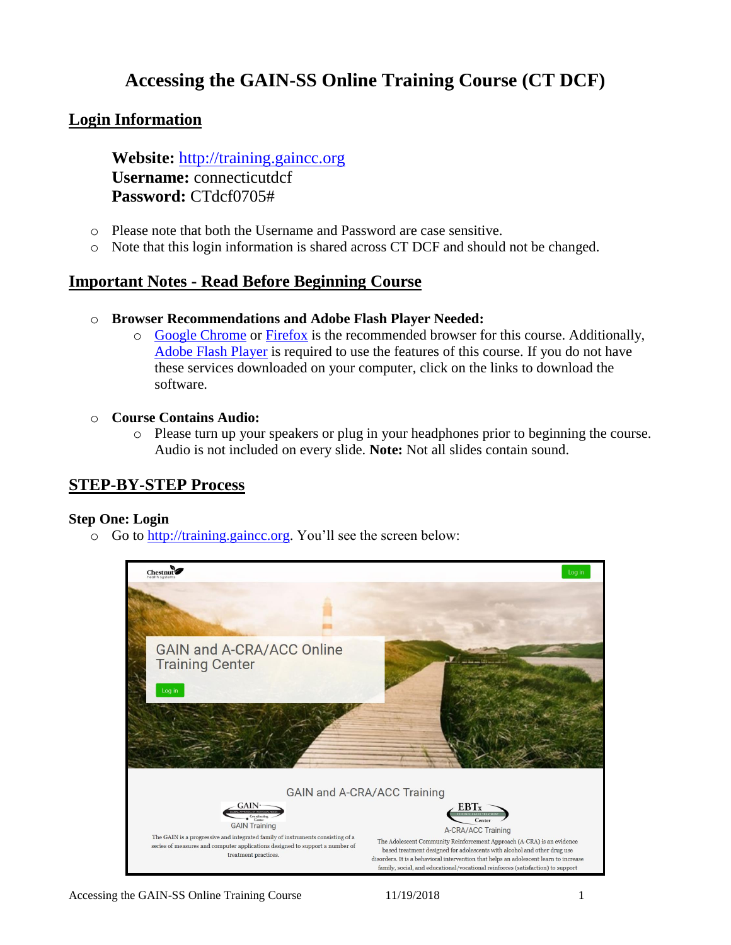# **Accessing the GAIN-SS Online Training Course (CT DCF)**

## **Login Information**

**Website:** [http://training.gaincc.org](http://training.gaincc.org/) **Username:** connecticutdcf **Password:** CTdcf0705#

- o Please note that both the Username and Password are case sensitive.
- o Note that this login information is shared across CT DCF and should not be changed.

## **Important Notes - Read Before Beginning Course**

- o **Browser Recommendations and Adobe Flash Player Needed:**
	- o [Google Chrome](https://www.google.com/chrome/browser/desktop/index.html?brand=CHBD&gclid=Cj0KCQiAyszSBRDJARIsAHAqQ4pfKFGRe6zSPTBc3GOrbb9stofZqKdH-iw6XaXcAENyhKNd9tPhTfEaAmHNEALw_wcB) or [Firefox](https://www.mozilla.org/en-US/firefox/?utm_source=google&utm_medium=cpc&utm_campaign=Brand-US-GGL-Exact&utm_term=firefox%20download&utm_content=A144_A203_A006296&gclid=Cj0KCQiAyszSBRDJARIsAHAqQ4okkkUnNr4motqu6Uh5vtLy-CmgQU994nEN6nCr-0CDnF93aJ1Qh50aAj3IEALw_wcB&gclsrc=aw.ds) is the recommended browser for this course. Additionally, [Adobe Flash Player](https://get.adobe.com/flashplayer/) is required to use the features of this course. If you do not have these services downloaded on your computer, click on the links to download the software.

### o **Course Contains Audio:**

o Please turn up your speakers or plug in your headphones prior to beginning the course. Audio is not included on every slide. **Note:** Not all slides contain sound.

## **STEP-BY-STEP Process**

### **Step One: Login**

o Go to [http://training.gaincc.org.](http://training.gaincc.org/) You'll see the screen below:

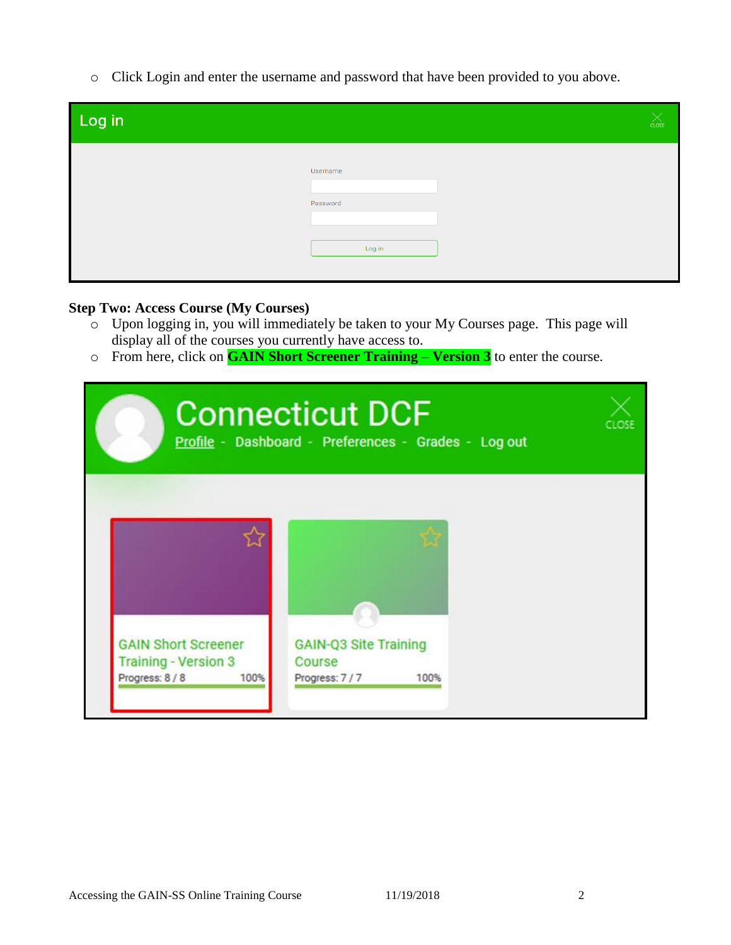o Click Login and enter the username and password that have been provided to you above.

| Log in |                                | CLOSE |
|--------|--------------------------------|-------|
|        | Username<br>Password<br>Log in |       |

## **Step Two: Access Course (My Courses)**

- $\sim$  Upon logging in, you will immediately be taken to your My Courses page. This page will display all of the courses you currently have access to.
- o From here, click on **GAIN Short Screener Training – Version 3** to enter the course.

| <b>Connecticut DCF</b><br>Profile - Dashboard - Preferences - Grades - Log out       |                                                                 |  |  |
|--------------------------------------------------------------------------------------|-----------------------------------------------------------------|--|--|
| <b>GAIN Short Screener</b><br><b>Training - Version 3</b><br>Progress: 8 / 8<br>100% | <b>GAIN-Q3 Site Training</b><br>Course<br>Progress: 7/7<br>100% |  |  |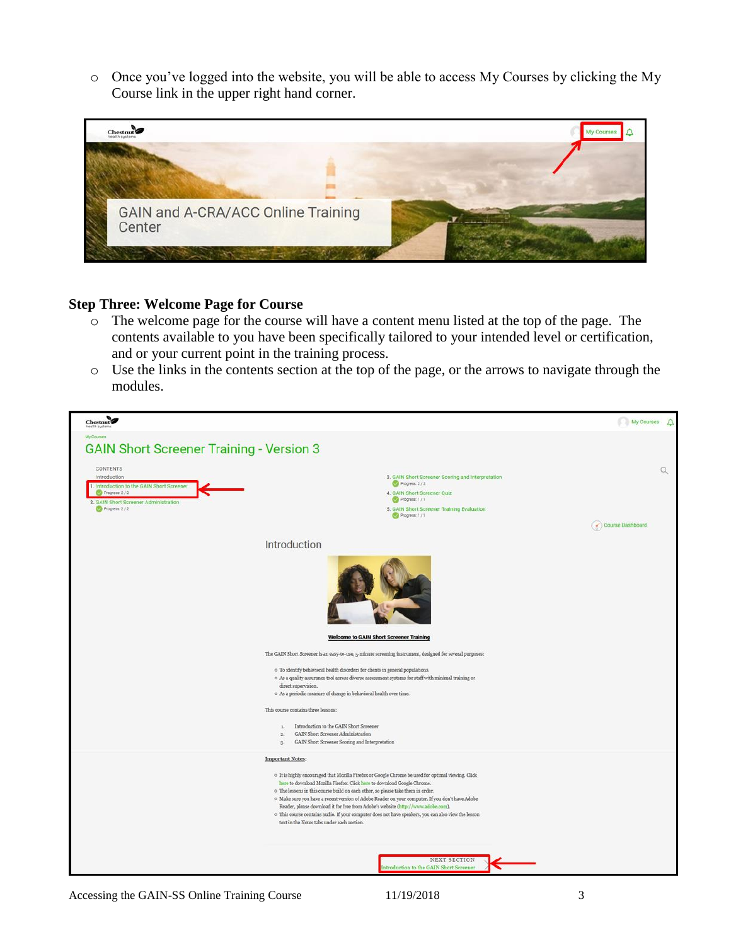o Once you've logged into the website, you will be able to access My Courses by clicking the My Course link in the upper right hand corner.



#### **Step Three: Welcome Page for Course**

- o The welcome page for the course will have a content menu listed at the top of the page. The contents available to you have been specifically tailored to your intended level or certification, and or your current point in the training process.
- o Use the links in the contents section at the top of the page, or the arrows to navigate through the modules.

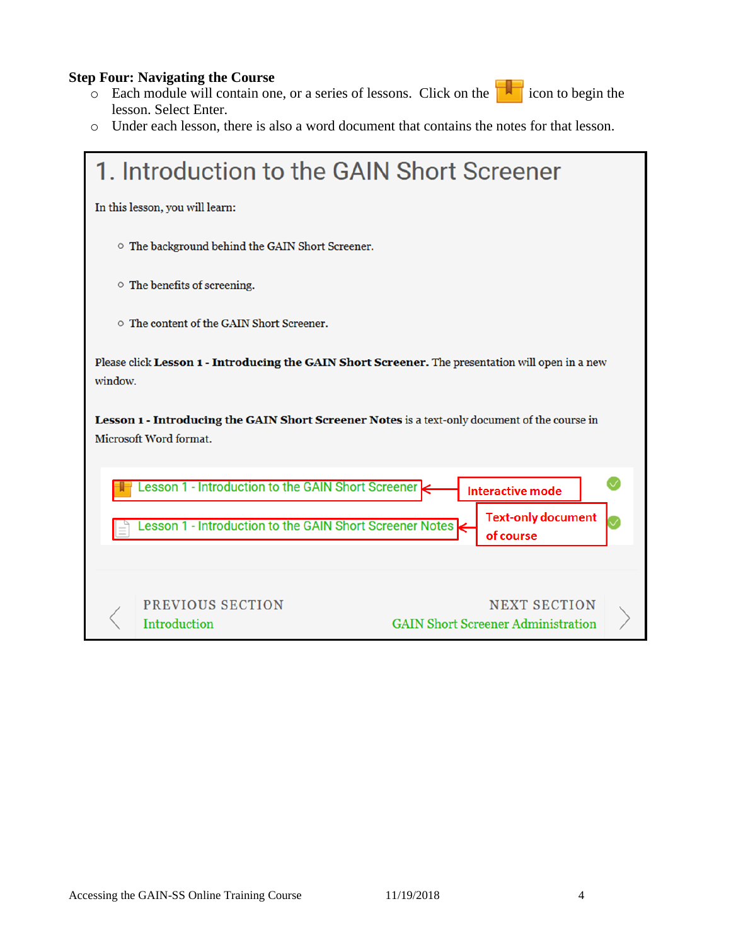### **Step Four: Navigating the Course**

- o Each module will contain one, or a series of lessons. Click on the icon to begin the lesson. Select Enter.
- o Under each lesson, there is also a word document that contains the notes for that lesson.

| 1. Introduction to the GAIN Short Screener                                                                              |  |  |
|-------------------------------------------------------------------------------------------------------------------------|--|--|
| In this lesson, you will learn:                                                                                         |  |  |
| The background behind the GAIN Short Screener.                                                                          |  |  |
| ○ The benefits of screening.                                                                                            |  |  |
| o The content of the GAIN Short Screener.                                                                               |  |  |
| Please click Lesson 1 - Introducing the GAIN Short Screener. The presentation will open in a new<br>window.             |  |  |
| Lesson 1 - Introducing the GAIN Short Screener Notes is a text-only document of the course in<br>Microsoft Word format. |  |  |
| Lesson 1 - Introduction to the GAIN Short Screener<br><b>Interactive mode</b>                                           |  |  |
| <b>Text-only document</b><br>esson 1 - Introduction to the GAIN Short Screener Notes<br>of course                       |  |  |
|                                                                                                                         |  |  |
| PREVIOUS SECTION<br><b>NEXT SECTION</b><br><b>GAIN Short Screener Administration</b><br><b>Introduction</b>             |  |  |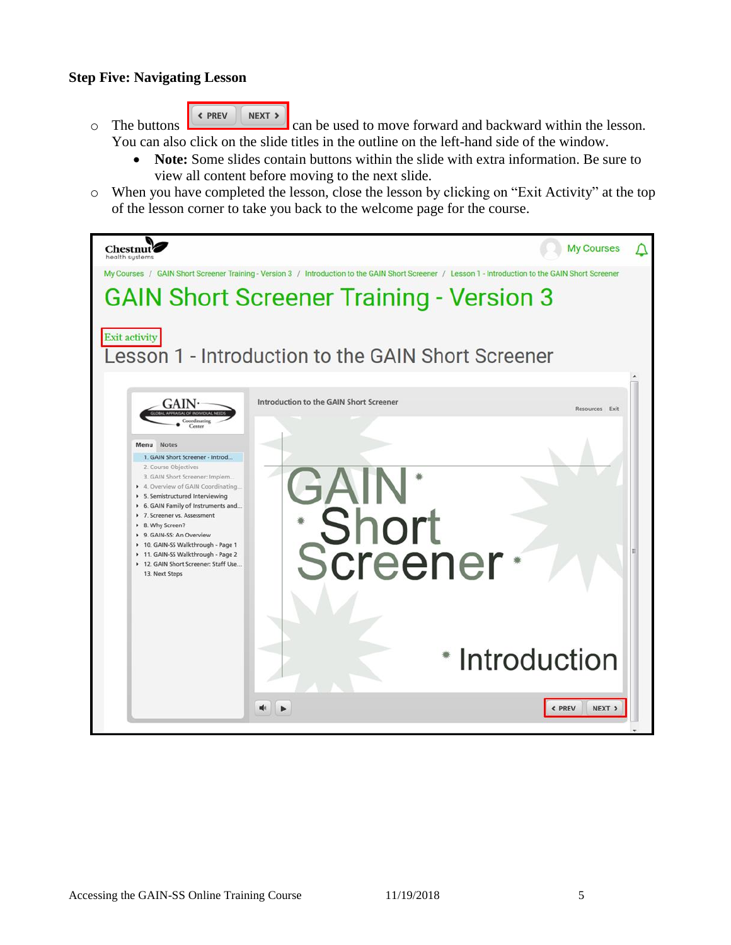### **Step Five: Navigating Lesson**

- « PREV NEXT >  $\circ$  The buttons can be used to move forward and backward within the lesson. You can also click on the slide titles in the outline on the left-hand side of the window.
	- **Note:** Some slides contain buttons within the slide with extra information. Be sure to view all content before moving to the next slide.
- o When you have completed the lesson, close the lesson by clicking on "Exit Activity" at the top of the lesson corner to take you back to the welcome page for the course.

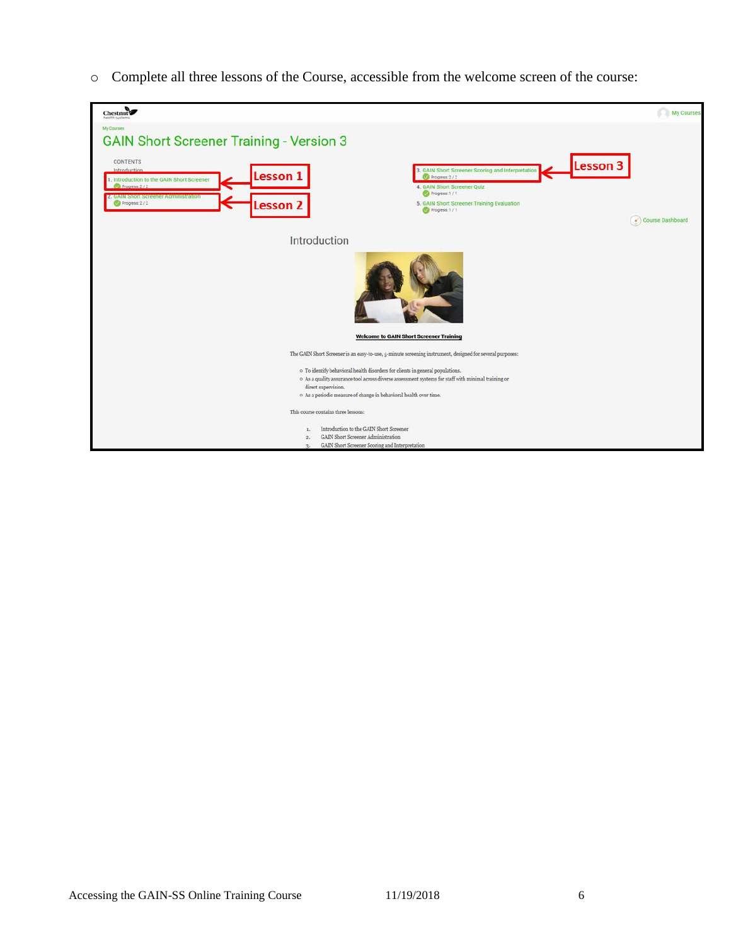o Complete all three lessons of the Course, accessible from the welcome screen of the course:

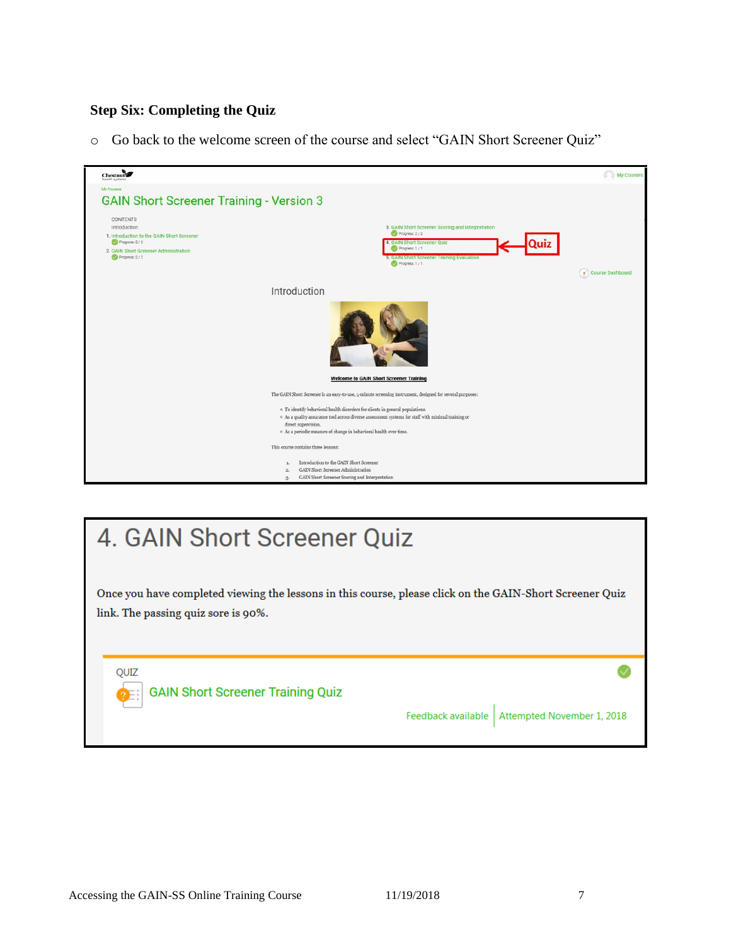## **Step Six: Completing the Quiz**

o Go back to the welcome screen of the course and select "GAIN Short Screener Quiz"